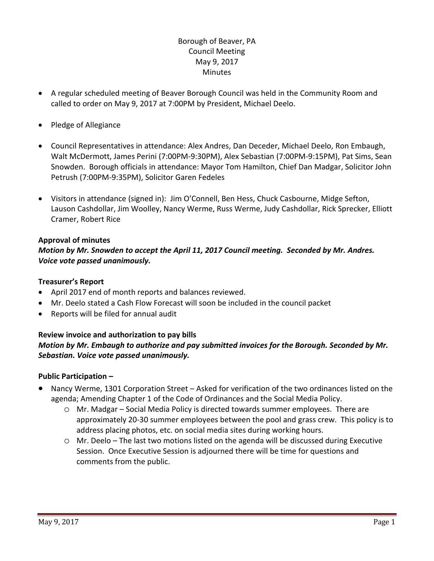## Borough of Beaver, PA Council Meeting May 9, 2017 **Minutes**

- A regular scheduled meeting of Beaver Borough Council was held in the Community Room and called to order on May 9, 2017 at 7:00PM by President, Michael Deelo.
- Pledge of Allegiance
- Council Representatives in attendance: Alex Andres, Dan Deceder, Michael Deelo, Ron Embaugh, Walt McDermott, James Perini (7:00PM-9:30PM), Alex Sebastian (7:00PM-9:15PM), Pat Sims, Sean Snowden. Borough officials in attendance: Mayor Tom Hamilton, Chief Dan Madgar, Solicitor John Petrush (7:00PM-9:35PM), Solicitor Garen Fedeles
- Visitors in attendance (signed in): Jim O'Connell, Ben Hess, Chuck Casbourne, Midge Sefton, Lauson Cashdollar, Jim Woolley, Nancy Werme, Russ Werme, Judy Cashdollar, Rick Sprecker, Elliott Cramer, Robert Rice

### **Approval of minutes**

### *Motion by Mr. Snowden to accept the April 11, 2017 Council meeting. Seconded by Mr. Andres. Voice vote passed unanimously.*

#### **Treasurer's Report**

- April 2017 end of month reports and balances reviewed.
- Mr. Deelo stated a Cash Flow Forecast will soon be included in the council packet
- Reports will be filed for annual audit

### **Review invoice and authorization to pay bills** *Motion by Mr. Embaugh to authorize and pay submitted invoices for the Borough. Seconded by Mr. Sebastian. Voice vote passed unanimously.*

#### **Public Participation –**

- Nancy Werme, 1301 Corporation Street Asked for verification of the two ordinances listed on the agenda; Amending Chapter 1 of the Code of Ordinances and the Social Media Policy.
	- $\circ$  Mr. Madgar Social Media Policy is directed towards summer employees. There are approximately 20-30 summer employees between the pool and grass crew. This policy is to address placing photos, etc. on social media sites during working hours.
	- o Mr. Deelo The last two motions listed on the agenda will be discussed during Executive Session. Once Executive Session is adjourned there will be time for questions and comments from the public.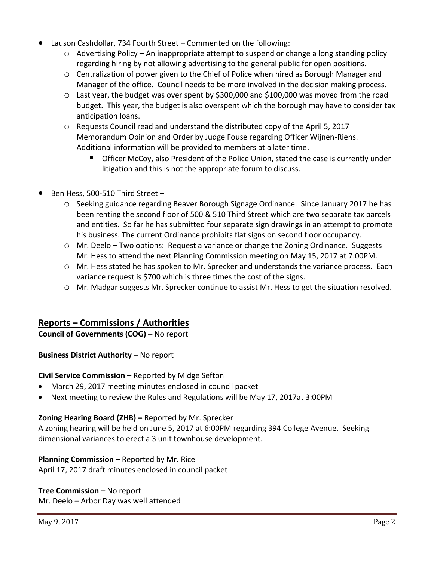- Lauson Cashdollar, 734 Fourth Street Commented on the following:
	- $\circ$  Advertising Policy An inappropriate attempt to suspend or change a long standing policy regarding hiring by not allowing advertising to the general public for open positions.
	- o Centralization of power given to the Chief of Police when hired as Borough Manager and Manager of the office. Council needs to be more involved in the decision making process.
	- $\circ$  Last year, the budget was over spent by \$300,000 and \$100,000 was moved from the road budget. This year, the budget is also overspent which the borough may have to consider tax anticipation loans.
	- o Requests Council read and understand the distributed copy of the April 5, 2017 Memorandum Opinion and Order by Judge Fouse regarding Officer Wijnen-Riens. Additional information will be provided to members at a later time.
		- Officer McCoy, also President of the Police Union, stated the case is currently under litigation and this is not the appropriate forum to discuss.
- Ben Hess, 500-510 Third Street
	- o Seeking guidance regarding Beaver Borough Signage Ordinance. Since January 2017 he has been renting the second floor of 500 & 510 Third Street which are two separate tax parcels and entities. So far he has submitted four separate sign drawings in an attempt to promote his business. The current Ordinance prohibits flat signs on second floor occupancy.
	- o Mr. Deelo Two options: Request a variance or change the Zoning Ordinance. Suggests Mr. Hess to attend the next Planning Commission meeting on May 15, 2017 at 7:00PM.
	- o Mr. Hess stated he has spoken to Mr. Sprecker and understands the variance process. Each variance request is \$700 which is three times the cost of the signs.
	- o Mr. Madgar suggests Mr. Sprecker continue to assist Mr. Hess to get the situation resolved.

# **Reports – Commissions / Authorities**

**Council of Governments (COG) –** No report

### **Business District Authority – No report**

**Civil Service Commission –** Reported by Midge Sefton

- March 29, 2017 meeting minutes enclosed in council packet
- Next meeting to review the Rules and Regulations will be May 17, 2017at 3:00PM

### **Zoning Hearing Board (ZHB) –** Reported by Mr. Sprecker

A zoning hearing will be held on June 5, 2017 at 6:00PM regarding 394 College Avenue. Seeking dimensional variances to erect a 3 unit townhouse development.

### **Planning Commission –** Reported by Mr. Rice

April 17, 2017 draft minutes enclosed in council packet

### **Tree Commission –** No report

Mr. Deelo – Arbor Day was well attended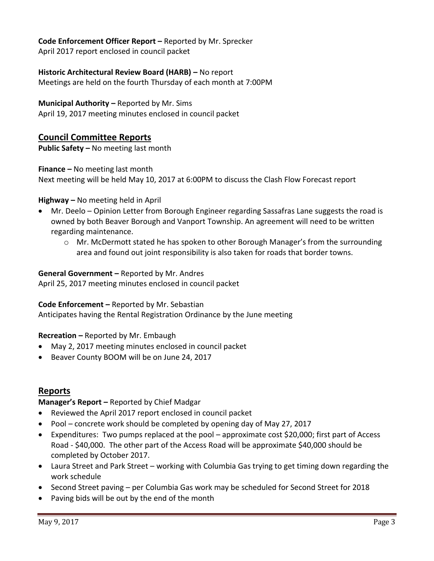**Code Enforcement Officer Report –** Reported by Mr. Sprecker April 2017 report enclosed in council packet

**Historic Architectural Review Board (HARB) –** No report Meetings are held on the fourth Thursday of each month at 7:00PM

# **Municipal Authority –** Reported by Mr. Sims

April 19, 2017 meeting minutes enclosed in council packet

# **Council Committee Reports**

**Public Safety –** No meeting last month

**Finance –** No meeting last month

Next meeting will be held May 10, 2017 at 6:00PM to discuss the Clash Flow Forecast report

### **Highway –** No meeting held in April

- Mr. Deelo Opinion Letter from Borough Engineer regarding Sassafras Lane suggests the road is owned by both Beaver Borough and Vanport Township. An agreement will need to be written regarding maintenance.
	- $\circ$  Mr. McDermott stated he has spoken to other Borough Manager's from the surrounding area and found out joint responsibility is also taken for roads that border towns.

### **General Government –** Reported by Mr. Andres

April 25, 2017 meeting minutes enclosed in council packet

### **Code Enforcement –** Reported by Mr. Sebastian

Anticipates having the Rental Registration Ordinance by the June meeting

#### **Recreation –** Reported by Mr. Embaugh

- May 2, 2017 meeting minutes enclosed in council packet
- Beaver County BOOM will be on June 24, 2017

### **Reports**

### **Manager's Report –** Reported by Chief Madgar

- Reviewed the April 2017 report enclosed in council packet
- Pool concrete work should be completed by opening day of May 27, 2017
- Expenditures: Two pumps replaced at the pool approximate cost \$20,000; first part of Access Road - \$40,000. The other part of the Access Road will be approximate \$40,000 should be completed by October 2017.
- Laura Street and Park Street working with Columbia Gas trying to get timing down regarding the work schedule
- Second Street paving per Columbia Gas work may be scheduled for Second Street for 2018
- Paving bids will be out by the end of the month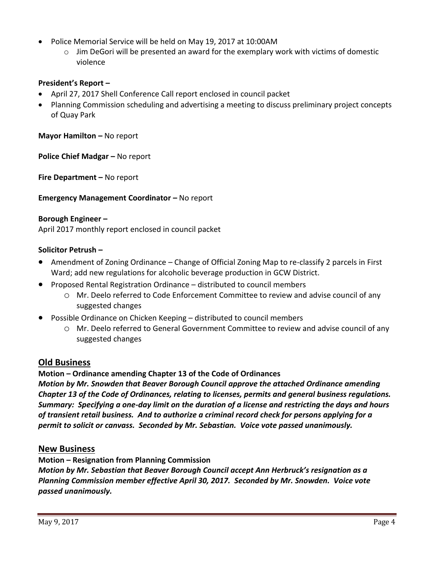- Police Memorial Service will be held on May 19, 2017 at 10:00AM
	- $\circ$  Jim DeGori will be presented an award for the exemplary work with victims of domestic violence

### **President's Report –**

- April 27, 2017 Shell Conference Call report enclosed in council packet
- Planning Commission scheduling and advertising a meeting to discuss preliminary project concepts of Quay Park

**Mayor Hamilton – No report** 

**Police Chief Madgar – No report** 

**Fire Department –** No report

**Emergency Management Coordinator - No report** 

#### **Borough Engineer –**

April 2017 monthly report enclosed in council packet

### **Solicitor Petrush –**

- Amendment of Zoning Ordinance Change of Official Zoning Map to re-classify 2 parcels in First Ward; add new regulations for alcoholic beverage production in GCW District.
- Proposed Rental Registration Ordinance distributed to council members
	- o Mr. Deelo referred to Code Enforcement Committee to review and advise council of any suggested changes
- Possible Ordinance on Chicken Keeping distributed to council members
	- o Mr. Deelo referred to General Government Committee to review and advise council of any suggested changes

### **Old Business**

**Motion – Ordinance amending Chapter 13 of the Code of Ordinances**

*Motion by Mr. Snowden that Beaver Borough Council approve the attached Ordinance amending Chapter 13 of the Code of Ordinances, relating to licenses, permits and general business regulations. Summary: Specifying a one-day limit on the duration of a license and restricting the days and hours of transient retail business. And to authorize a criminal record check for persons applying for a permit to solicit or canvass. Seconded by Mr. Sebastian. Voice vote passed unanimously.*

#### **New Business**

**Motion – Resignation from Planning Commission** *Motion by Mr. Sebastian that Beaver Borough Council accept Ann Herbruck's resignation as a Planning Commission member effective April 30, 2017. Seconded by Mr. Snowden. Voice vote passed unanimously.*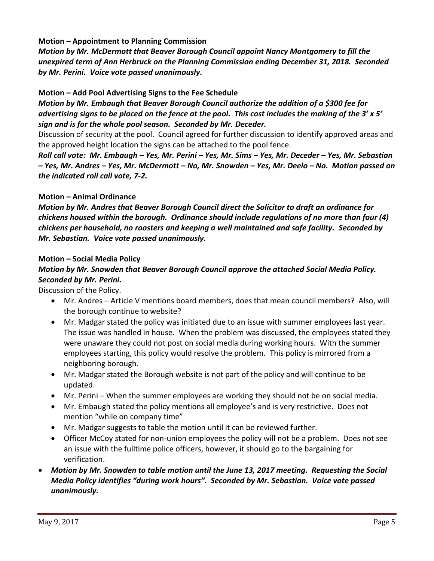### **Motion – Appointment to Planning Commission**

*Motion by Mr. McDermott that Beaver Borough Council appoint Nancy Montgomery to fill the unexpired term of Ann Herbruck on the Planning Commission ending December 31, 2018. Seconded by Mr. Perini. Voice vote passed unanimously.*

### **Motion – Add Pool Advertising Signs to the Fee Schedule**

*Motion by Mr. Embaugh that Beaver Borough Council authorize the addition of a \$300 fee for advertising signs to be placed on the fence at the pool. This cost includes the making of the 3' x 5' sign and is for the whole pool season. Seconded by Mr. Deceder.* 

Discussion of security at the pool. Council agreed for further discussion to identify approved areas and the approved height location the signs can be attached to the pool fence.

*Roll call vote: Mr. Embaugh – Yes, Mr. Perini – Yes, Mr. Sims – Yes, Mr. Deceder – Yes, Mr. Sebastian – Yes, Mr. Andres – Yes, Mr. McDermott – No, Mr. Snowden – Yes, Mr. Deelo – No. Motion passed on the indicated roll call vote, 7-2.* 

#### **Motion – Animal Ordinance**

*Motion by Mr. Andres that Beaver Borough Council direct the Solicitor to draft an ordinance for chickens housed within the borough. Ordinance should include regulations of no more than four (4) chickens per household, no roosters and keeping a well maintained and safe facility. Seconded by Mr. Sebastian. Voice vote passed unanimously.*

### **Motion – Social Media Policy**

# *Motion by Mr. Snowden that Beaver Borough Council approve the attached Social Media Policy. Seconded by Mr. Perini.*

Discussion of the Policy.

- Mr. Andres Article V mentions board members, does that mean council members? Also, will the borough continue to website?
- Mr. Madgar stated the policy was initiated due to an issue with summer employees last year. The issue was handled in house. When the problem was discussed, the employees stated they were unaware they could not post on social media during working hours. With the summer employees starting, this policy would resolve the problem. This policy is mirrored from a neighboring borough.
- Mr. Madgar stated the Borough website is not part of the policy and will continue to be updated.
- Mr. Perini When the summer employees are working they should not be on social media.
- Mr. Embaugh stated the policy mentions all employee's and is very restrictive. Does not mention "while on company time"
- Mr. Madgar suggests to table the motion until it can be reviewed further.
- Officer McCoy stated for non-union employees the policy will not be a problem. Does not see an issue with the fulltime police officers, however, it should go to the bargaining for verification.
- *Motion by Mr. Snowden to table motion until the June 13, 2017 meeting. Requesting the Social Media Policy identifies "during work hours". Seconded by Mr. Sebastian. Voice vote passed unanimously.*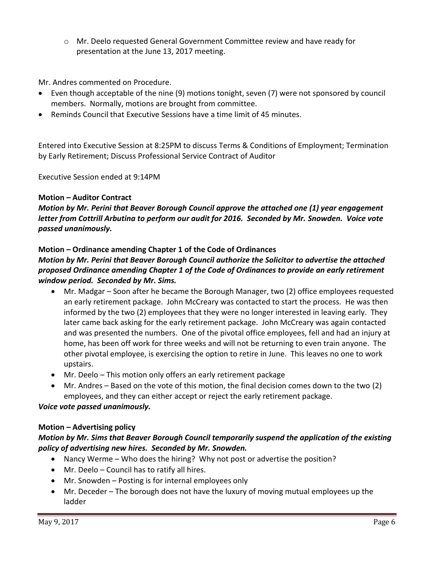o Mr. Deelo requested General Government Committee review and have ready for presentation at the June 13, 2017 meeting.

Mr. Andres commented on Procedure.

- Even though acceptable of the nine (9) motions tonight, seven (7) were not sponsored by council members. Normally, motions are brought from committee.
- Reminds Council that Executive Sessions have a time limit of 45 minutes.

Entered into Executive Session at 8:25PM to discuss Terms & Conditions of Employment; Termination by Early Retirement; Discuss Professional Service Contract of Auditor

Executive Session ended at 9:14PM

## **Motion – Auditor Contract**

*Motion by Mr. Perini that Beaver Borough Council approve the attached one (1) year engagement letter from Cottrill Arbutina to perform our audit for 2016. Seconded by Mr. Snowden. Voice vote passed unanimously.*

**Motion – Ordinance amending Chapter 1 of the Code of Ordinances**

## *Motion by Mr. Perini that Beaver Borough Council authorize the Solicitor to advertise the attached proposed Ordinance amending Chapter 1 of the Code of Ordinances to provide an early retirement window period. Seconded by Mr. Sims.*

- Mr. Madgar Soon after he became the Borough Manager, two (2) office employees requested an early retirement package. John McCreary was contacted to start the process. He was then informed by the two (2) employees that they were no longer interested in leaving early. They later came back asking for the early retirement package. John McCreary was again contacted and was presented the numbers. One of the pivotal office employees, fell and had an injury at home, has been off work for three weeks and will not be returning to even train anyone. The other pivotal employee, is exercising the option to retire in June. This leaves no one to work upstairs.
- Mr. Deelo This motion only offers an early retirement package
- Mr. Andres Based on the vote of this motion, the final decision comes down to the two (2) employees, and they can either accept or reject the early retirement package.

### *Voice vote passed unanimously.*

### **Motion – Advertising policy**

## *Motion by Mr. Sims that Beaver Borough Council temporarily suspend the application of the existing policy of advertising new hires. Seconded by Mr. Snowden.*

- Nancy Werme Who does the hiring? Why not post or advertise the position?
- Mr. Deelo Council has to ratify all hires.
- Mr. Snowden Posting is for internal employees only
- Mr. Deceder The borough does not have the luxury of moving mutual employees up the ladder